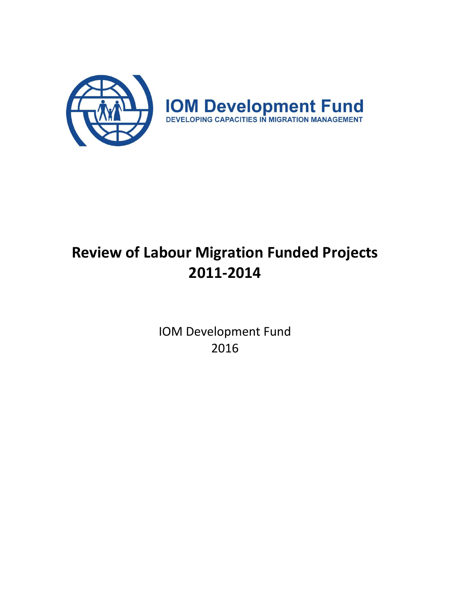

# **Review of Labour Migration Funded Projects 2011-2014**

IOM Development Fund 2016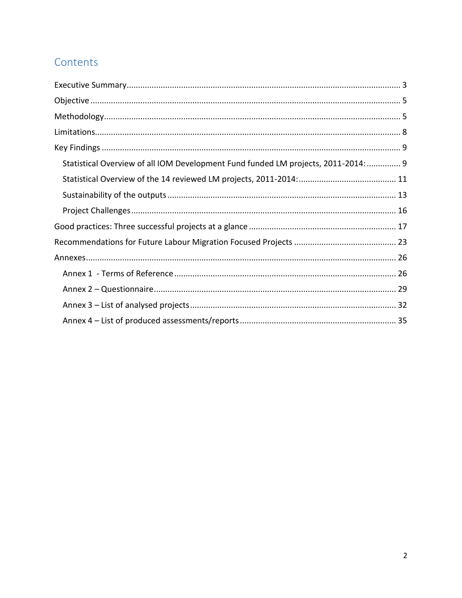## Contents

| Statistical Overview of all IOM Development Fund funded LM projects, 2011-2014:  9 |  |
|------------------------------------------------------------------------------------|--|
|                                                                                    |  |
|                                                                                    |  |
|                                                                                    |  |
|                                                                                    |  |
|                                                                                    |  |
|                                                                                    |  |
|                                                                                    |  |
|                                                                                    |  |
|                                                                                    |  |
|                                                                                    |  |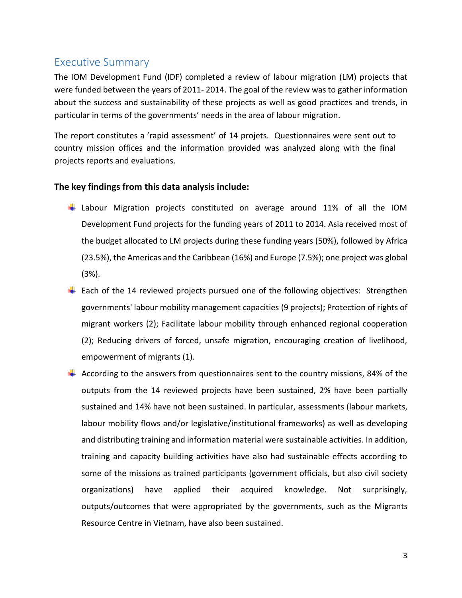## <span id="page-2-0"></span>Executive Summary

The IOM Development Fund (IDF) completed a review of labour migration (LM) projects that were funded between the years of 2011- 2014. The goal of the review was to gather information about the success and sustainability of these projects as well as good practices and trends, in particular in terms of the governments' needs in the area of labour migration.

The report constitutes a 'rapid assessment' of 14 projets. Questionnaires were sent out to country mission offices and the information provided was analyzed along with the final projects reports and evaluations.

#### **The key findings from this data analysis include:**

- Labour Migration projects constituted on average around 11% of all the IOM Development Fund projects for the funding years of 2011 to 2014. Asia received most of the budget allocated to LM projects during these funding years (50%), followed by Africa (23.5%), the Americas and the Caribbean (16%) and Europe (7.5%); one project was global (3%).
- $\ddot{+}$  Each of the 14 reviewed projects pursued one of the following objectives: Strengthen governments' labour mobility management capacities (9 projects); Protection of rights of migrant workers (2); Facilitate labour mobility through enhanced regional cooperation (2); Reducing drivers of forced, unsafe migration, encouraging creation of livelihood, empowerment of migrants (1).
- $\ddot{+}$  According to the answers from questionnaires sent to the country missions, 84% of the outputs from the 14 reviewed projects have been sustained, 2% have been partially sustained and 14% have not been sustained. In particular, assessments (labour markets, labour mobility flows and/or legislative/institutional frameworks) as well as developing and distributing training and information material were sustainable activities. In addition, training and capacity building activities have also had sustainable effects according to some of the missions as trained participants (government officials, but also civil society organizations) have applied their acquired knowledge. Not surprisingly, outputs/outcomes that were appropriated by the governments, such as the Migrants Resource Centre in Vietnam, have also been sustained.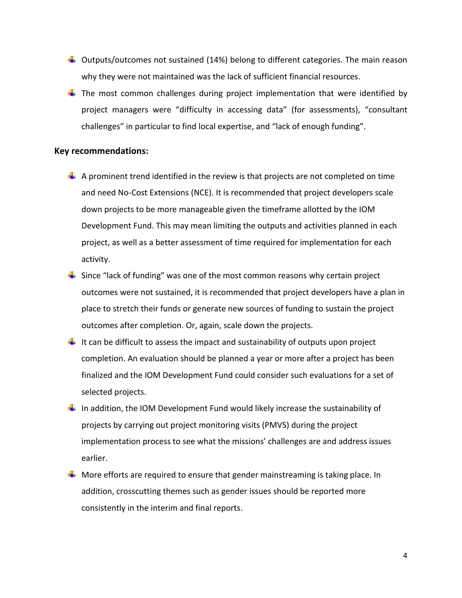- $\ddot{+}$  Outputs/outcomes not sustained (14%) belong to different categories. The main reason why they were not maintained was the lack of sufficient financial resources.
- $\ddot{\phantom{1}}$  The most common challenges during project implementation that were identified by project managers were "difficulty in accessing data" (for assessments), "consultant challenges" in particular to find local expertise, and "lack of enough funding".

#### **Key recommendations:**

- $\downarrow$  A prominent trend identified in the review is that projects are not completed on time and need No-Cost Extensions (NCE). It is recommended that project developers scale down projects to be more manageable given the timeframe allotted by the IOM Development Fund. This may mean limiting the outputs and activities planned in each project, as well as a better assessment of time required for implementation for each activity.
- $\ddot{\phantom{1}}$  Since "lack of funding" was one of the most common reasons why certain project outcomes were not sustained, it is recommended that project developers have a plan in place to stretch their funds or generate new sources of funding to sustain the project outcomes after completion. Or, again, scale down the projects.
- It can be difficult to assess the impact and sustainability of outputs upon project completion. An evaluation should be planned a year or more after a project has been finalized and the IOM Development Fund could consider such evaluations for a set of selected projects.
- In addition, the IOM Development Fund would likely increase the sustainability of projects by carrying out project monitoring visits (PMVS) during the project implementation process to see what the missions' challenges are and address issues earlier.
- $\ddot{+}$  More efforts are required to ensure that gender mainstreaming is taking place. In addition, crosscutting themes such as gender issues should be reported more consistently in the interim and final reports.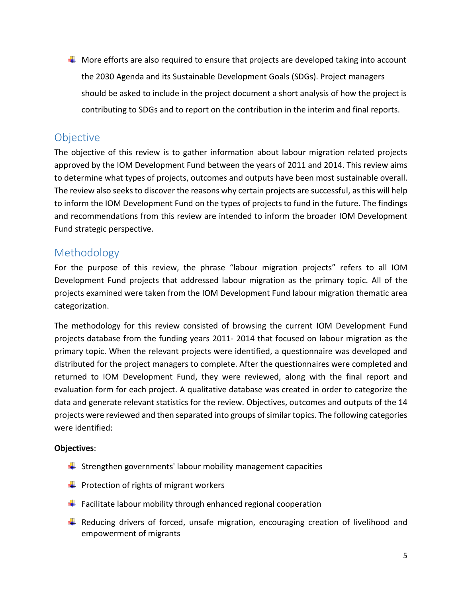$\ddot{\phantom{1}}$  More efforts are also required to ensure that projects are developed taking into account the 2030 Agenda and its Sustainable Development Goals (SDGs). Project managers should be asked to include in the project document a short analysis of how the project is contributing to SDGs and to report on the contribution in the interim and final reports.

## <span id="page-4-0"></span>Objective

The objective of this review is to gather information about labour migration related projects approved by the IOM Development Fund between the years of 2011 and 2014. This review aims to determine what types of projects, outcomes and outputs have been most sustainable overall. The review also seeks to discover the reasons why certain projects are successful, as this will help to inform the IOM Development Fund on the types of projects to fund in the future. The findings and recommendations from this review are intended to inform the broader IOM Development Fund strategic perspective.

## <span id="page-4-1"></span>Methodology

For the purpose of this review, the phrase "labour migration projects" refers to all IOM Development Fund projects that addressed labour migration as the primary topic. All of the projects examined were taken from the IOM Development Fund labour migration thematic area categorization.

The methodology for this review consisted of browsing the current IOM Development Fund projects database from the funding years 2011- 2014 that focused on labour migration as the primary topic. When the relevant projects were identified, a questionnaire was developed and distributed for the project managers to complete. After the questionnaires were completed and returned to IOM Development Fund, they were reviewed, along with the final report and evaluation form for each project. A qualitative database was created in order to categorize the data and generate relevant statistics for the review. Objectives, outcomes and outputs of the 14 projects were reviewed and then separated into groups of similar topics. The following categories were identified:

## **Objectives**:

- $\frac{1}{2}$  Strengthen governments' labour mobility management capacities
- $\downarrow$  Protection of rights of migrant workers
- $\ddot{\phantom{1}}$  Facilitate labour mobility through enhanced regional cooperation
- $\ddot$  Reducing drivers of forced, unsafe migration, encouraging creation of livelihood and empowerment of migrants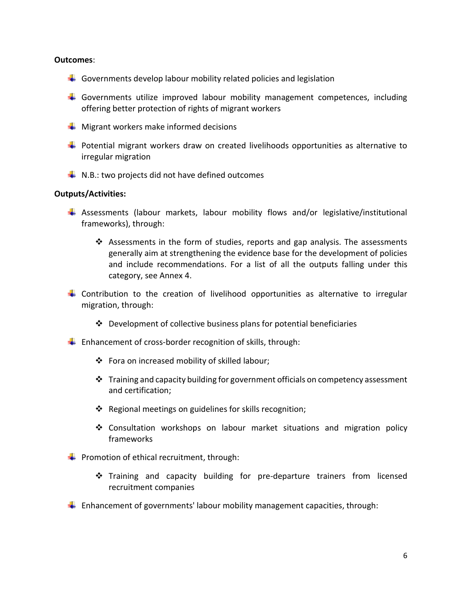#### **Outcomes**:

- $\frac{1}{2}$  Governments develop labour mobility related policies and legislation
- Governments utilize improved labour mobility management competences, including offering better protection of rights of migrant workers
- $\frac{1}{\sqrt{2}}$  Migrant workers make informed decisions
- $\ddot{\phantom{1}}$  Potential migrant workers draw on created livelihoods opportunities as alternative to irregular migration
- $\downarrow$  N.B.: two projects did not have defined outcomes

#### **Outputs/Activities:**

- $\ddot{*}$  Assessments (labour markets, labour mobility flows and/or legislative/institutional frameworks), through:
	- $\cdot \cdot$  Assessments in the form of studies, reports and gap analysis. The assessments generally aim at strengthening the evidence base for the development of policies and include recommendations. For a list of all the outputs falling under this category, see Annex 4.
- $\ddot$  Contribution to the creation of livelihood opportunities as alternative to irregular migration, through:
	- $\cdot \cdot$  Development of collective business plans for potential beneficiaries
- $\ddot{+}$  Enhancement of cross-border recognition of skills, through:
	- Fora on increased mobility of skilled labour;
	- $\cdot \cdot$  Training and capacity building for government officials on competency assessment and certification;
	- ❖ Regional meetings on guidelines for skills recognition;
	- $\div$  Consultation workshops on labour market situations and migration policy frameworks
- $\downarrow$  Promotion of ethical recruitment, through:
	- Training and capacity building for pre-departure trainers from licensed recruitment companies
- $\downarrow$  Enhancement of governments' labour mobility management capacities, through: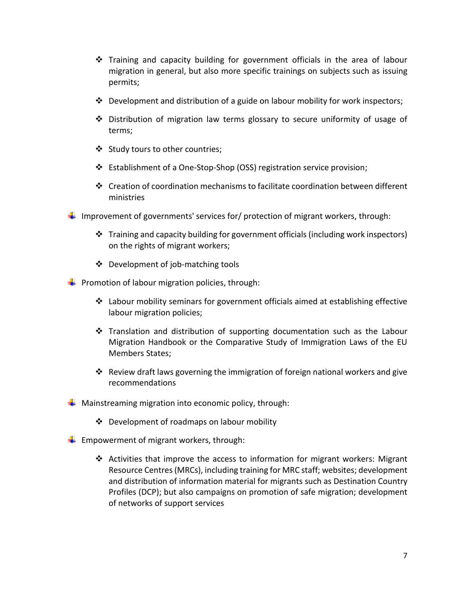- Training and capacity building for government officials in the area of labour migration in general, but also more specific trainings on subjects such as issuing permits;
- $\cdot \cdot$  Development and distribution of a guide on labour mobility for work inspectors;
- Distribution of migration law terms glossary to secure uniformity of usage of terms;
- Study tours to other countries;
- Establishment of a One-Stop-Shop (OSS) registration service provision;
- Creation of coordination mechanisms to facilitate coordination between different ministries
- Improvement of governments' services for/ protection of migrant workers, through:
	- $\cdot \cdot$  Training and capacity building for government officials (including work inspectors) on the rights of migrant workers;
	- $\triangleleft$  Development of job-matching tools

**Promotion of labour migration policies, through:** 

- $\cdot \cdot$  Labour mobility seminars for government officials aimed at establishing effective labour migration policies;
- $\cdot \cdot$  Translation and distribution of supporting documentation such as the Labour Migration Handbook or the Comparative Study of Immigration Laws of the EU Members States;
- Review draft laws governing the immigration of foreign national workers and give recommendations
- $\downarrow$  Mainstreaming migration into economic policy, through:
	- Development of roadmaps on labour mobility
- $\downarrow$  Empowerment of migrant workers, through:
	- $\cdot \cdot$  Activities that improve the access to information for migrant workers: Migrant Resource Centres (MRCs), including training for MRC staff; websites; development and distribution of information material for migrants such as Destination Country Profiles (DCP); but also campaigns on promotion of safe migration; development of networks of support services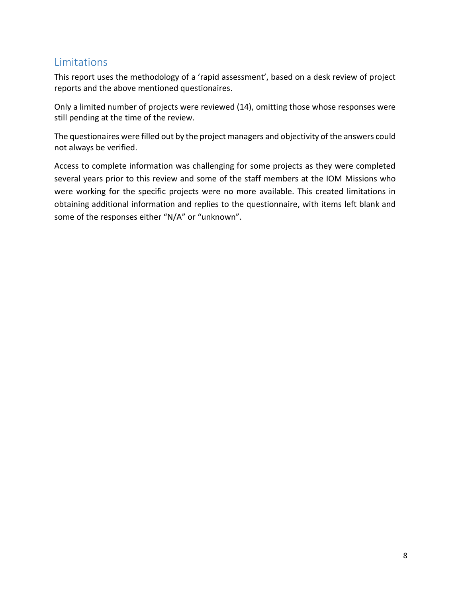## <span id="page-7-0"></span>Limitations

This report uses the methodology of a 'rapid assessment', based on a desk review of project reports and the above mentioned questionaires.

Only a limited number of projects were reviewed (14), omitting those whose responses were still pending at the time of the review.

The questionaires were filled out by the project managers and objectivity of the answers could not always be verified.

Access to complete information was challenging for some projects as they were completed several years prior to this review and some of the staff members at the IOM Missions who were working for the specific projects were no more available. This created limitations in obtaining additional information and replies to the questionnaire, with items left blank and some of the responses either "N/A" or "unknown".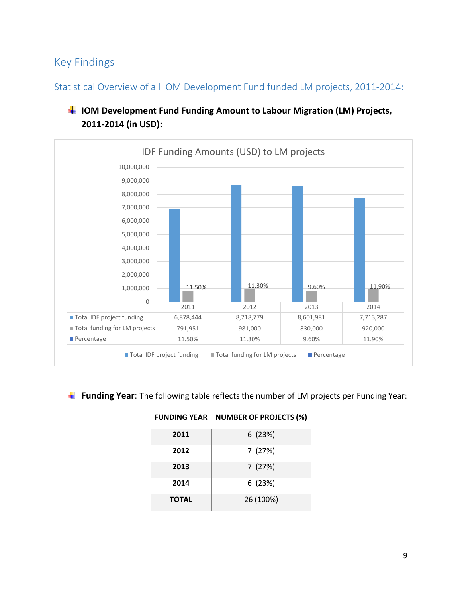## <span id="page-8-0"></span>Key Findings

<span id="page-8-1"></span>Statistical Overview of all IOM Development Fund funded LM projects, 2011-2014:



## **IOM Development Fund Funding Amount to Labour Migration (LM) Projects, 2011-2014 (in USD):**

#### **Funding Year**: The following table reflects the number of LM projects per Funding Year:

| 2011         | 6(23%)    |
|--------------|-----------|
| 2012         | 7(27%)    |
| 2013         | 7(27%)    |
| 2014         | 6(23%)    |
| <b>TOTAL</b> | 26 (100%) |

#### **FUNDING YEAR NUMBER OF PROJECTS (%)**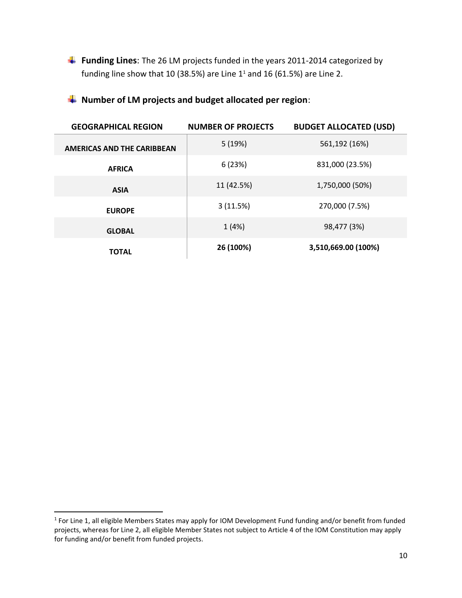**Funding Lines**: The 26 LM projects funded in the years 2011-2014 categorized by funding line show that 10 (38.5%) are Line  $1^1$  and 16 (61.5%) are Line 2.

## **Number of LM projects and budget allocated per region**:

| <b>GEOGRAPHICAL REGION</b>        | <b>NUMBER OF PROJECTS</b> | <b>BUDGET ALLOCATED (USD)</b> |
|-----------------------------------|---------------------------|-------------------------------|
| <b>AMERICAS AND THE CARIBBEAN</b> | 5(19%)                    | 561,192 (16%)                 |
| <b>AFRICA</b>                     | 6(23%)                    | 831,000 (23.5%)               |
| <b>ASIA</b>                       | 11 (42.5%)                | 1,750,000 (50%)               |
| <b>EUROPE</b>                     | 3(11.5%)                  | 270,000 (7.5%)                |
| <b>GLOBAL</b>                     | 1(4%)                     | 98,477 (3%)                   |
| <b>TOTAL</b>                      | 26 (100%)                 | 3,510,669.00 (100%)           |

 $\overline{\phantom{a}}$ 

<sup>&</sup>lt;sup>1</sup> For Line 1, all eligible Members States may apply for IOM Development Fund funding and/or benefit from funded projects, whereas for Line 2, all eligible Member States not subject to Article 4 of the IOM Constitution may apply for funding and/or benefit from funded projects.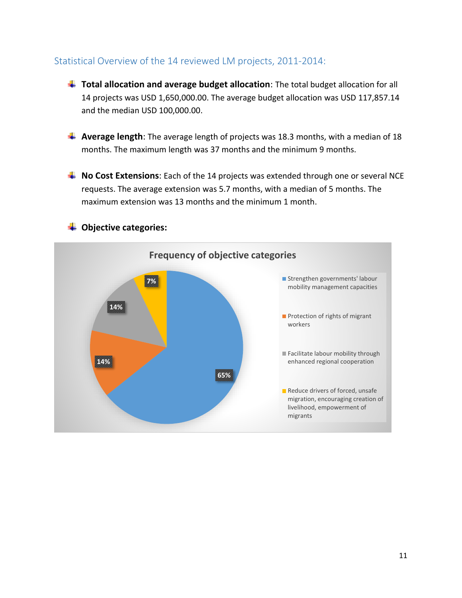## <span id="page-10-0"></span>Statistical Overview of the 14 reviewed LM projects, 2011-2014:

- **Total allocation and average budget allocation**: The total budget allocation for all 14 projects was USD 1,650,000.00. The average budget allocation was USD 117,857.14 and the median USD 100,000.00.
- **4** Average length: The average length of projects was 18.3 months, with a median of 18 months. The maximum length was 37 months and the minimum 9 months.
- **No Cost Extensions**: Each of the 14 projects was extended through one or several NCE requests. The average extension was 5.7 months, with a median of 5 months. The maximum extension was 13 months and the minimum 1 month.



#### **Objective categories:**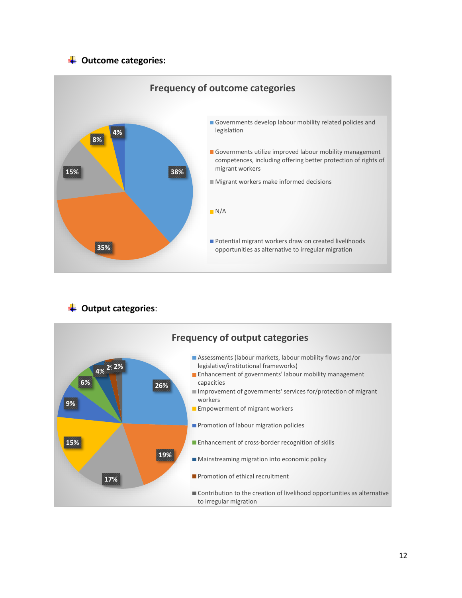## **Outcome categories:**



## **Output categories**:

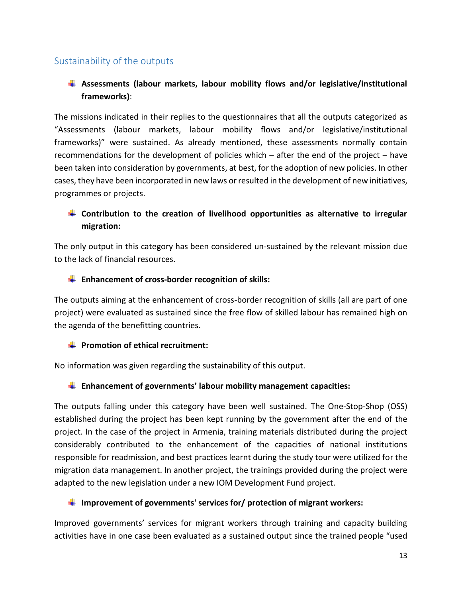## <span id="page-12-0"></span>Sustainability of the outputs

## **Assessments (labour markets, labour mobility flows and/or legislative/institutional frameworks)**:

The missions indicated in their replies to the questionnaires that all the outputs categorized as "Assessments (labour markets, labour mobility flows and/or legislative/institutional frameworks)" were sustained. As already mentioned, these assessments normally contain recommendations for the development of policies which – after the end of the project – have been taken into consideration by governments, at best, for the adoption of new policies. In other cases, they have been incorporated in new laws or resulted in the development of new initiatives, programmes or projects.

## **Contribution to the creation of livelihood opportunities as alternative to irregular migration:**

The only output in this category has been considered un-sustained by the relevant mission due to the lack of financial resources.

#### **Enhancement of cross-border recognition of skills:**

The outputs aiming at the enhancement of cross-border recognition of skills (all are part of one project) were evaluated as sustained since the free flow of skilled labour has remained high on the agenda of the benefitting countries.

#### **Promotion of ethical recruitment:**

No information was given regarding the sustainability of this output.

#### **Enhancement of governments' labour mobility management capacities:**

The outputs falling under this category have been well sustained. The One-Stop-Shop (OSS) established during the project has been kept running by the government after the end of the project. In the case of the project in Armenia, training materials distributed during the project considerably contributed to the enhancement of the capacities of national institutions responsible for readmission, and best practices learnt during the study tour were utilized for the migration data management. In another project, the trainings provided during the project were adapted to the new legislation under a new IOM Development Fund project.

#### **Improvement of governments' services for/ protection of migrant workers:**

Improved governments' services for migrant workers through training and capacity building activities have in one case been evaluated as a sustained output since the trained people "used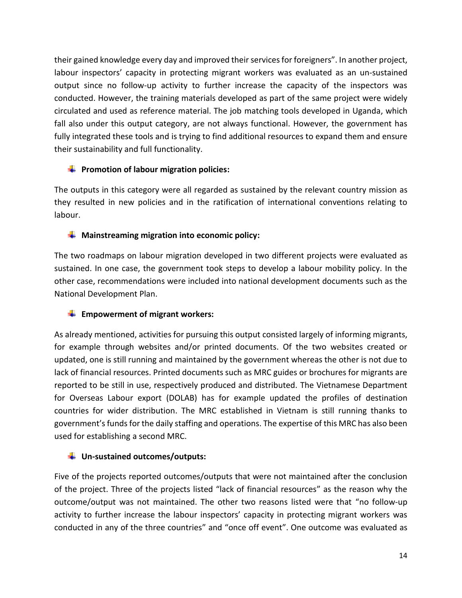their gained knowledge every day and improved their services for foreigners". In another project, labour inspectors' capacity in protecting migrant workers was evaluated as an un-sustained output since no follow-up activity to further increase the capacity of the inspectors was conducted. However, the training materials developed as part of the same project were widely circulated and used as reference material. The job matching tools developed in Uganda, which fall also under this output category, are not always functional. However, the government has fully integrated these tools and is trying to find additional resources to expand them and ensure their sustainability and full functionality.

## **F** Promotion of labour migration policies:

The outputs in this category were all regarded as sustained by the relevant country mission as they resulted in new policies and in the ratification of international conventions relating to labour.

### **Mainstreaming migration into economic policy:**

The two roadmaps on labour migration developed in two different projects were evaluated as sustained. In one case, the government took steps to develop a labour mobility policy. In the other case, recommendations were included into national development documents such as the National Development Plan.

## **Empowerment of migrant workers:**

As already mentioned, activities for pursuing this output consisted largely of informing migrants, for example through websites and/or printed documents. Of the two websites created or updated, one is still running and maintained by the government whereas the other is not due to lack of financial resources. Printed documents such as MRC guides or brochures for migrants are reported to be still in use, respectively produced and distributed. The Vietnamese Department for Overseas Labour export (DOLAB) has for example updated the profiles of destination countries for wider distribution. The MRC established in Vietnam is still running thanks to government's funds for the daily staffing and operations. The expertise of this MRC has also been used for establishing a second MRC.

## **Un-sustained outcomes/outputs:**

Five of the projects reported outcomes/outputs that were not maintained after the conclusion of the project. Three of the projects listed "lack of financial resources" as the reason why the outcome/output was not maintained. The other two reasons listed were that "no follow-up activity to further increase the labour inspectors' capacity in protecting migrant workers was conducted in any of the three countries" and "once off event". One outcome was evaluated as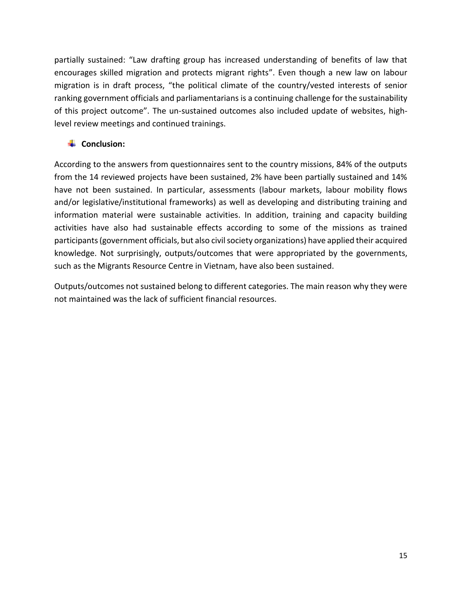partially sustained: "Law drafting group has increased understanding of benefits of law that encourages skilled migration and protects migrant rights". Even though a new law on labour migration is in draft process, "the political climate of the country/vested interests of senior ranking government officials and parliamentarians is a continuing challenge for the sustainability of this project outcome". The un-sustained outcomes also included update of websites, highlevel review meetings and continued trainings.

### **<del>↓</del>** Conclusion:

According to the answers from questionnaires sent to the country missions, 84% of the outputs from the 14 reviewed projects have been sustained, 2% have been partially sustained and 14% have not been sustained. In particular, assessments (labour markets, labour mobility flows and/or legislative/institutional frameworks) as well as developing and distributing training and information material were sustainable activities. In addition, training and capacity building activities have also had sustainable effects according to some of the missions as trained participants (government officials, but also civil society organizations) have applied their acquired knowledge. Not surprisingly, outputs/outcomes that were appropriated by the governments, such as the Migrants Resource Centre in Vietnam, have also been sustained.

Outputs/outcomes not sustained belong to different categories. The main reason why they were not maintained was the lack of sufficient financial resources.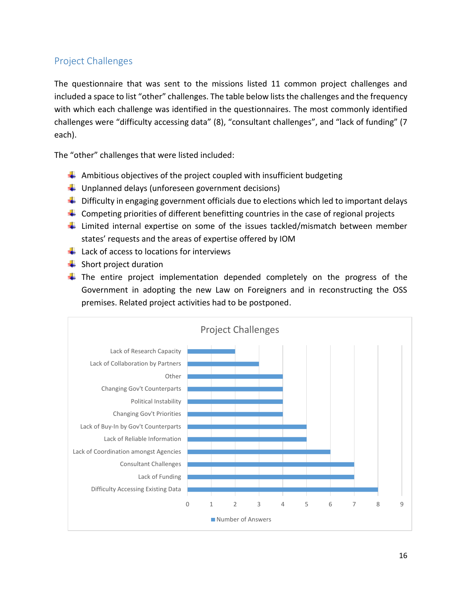## <span id="page-15-0"></span>Project Challenges

The questionnaire that was sent to the missions listed 11 common project challenges and included a space to list "other" challenges. The table below lists the challenges and the frequency with which each challenge was identified in the questionnaires. The most commonly identified challenges were "difficulty accessing data" (8), "consultant challenges", and "lack of funding" (7 each).

The "other" challenges that were listed included:

- $\ddot$  Ambitious objectives of the project coupled with insufficient budgeting
- $\downarrow$  Unplanned delays (unforeseen government decisions)
- $\downarrow$  Difficulty in engaging government officials due to elections which led to important delays
- $\ddot{\phantom{1}}$  Competing priorities of different benefitting countries in the case of regional projects
- $\ddot{\phantom{1}}$  Limited internal expertise on some of the issues tackled/mismatch between member states' requests and the areas of expertise offered by IOM
- $\downarrow$  Lack of access to locations for interviews
- $\frac{1}{\sqrt{2}}$  Short project duration
- $\pm$  The entire project implementation depended completely on the progress of the Government in adopting the new Law on Foreigners and in reconstructing the OSS premises. Related project activities had to be postponed.

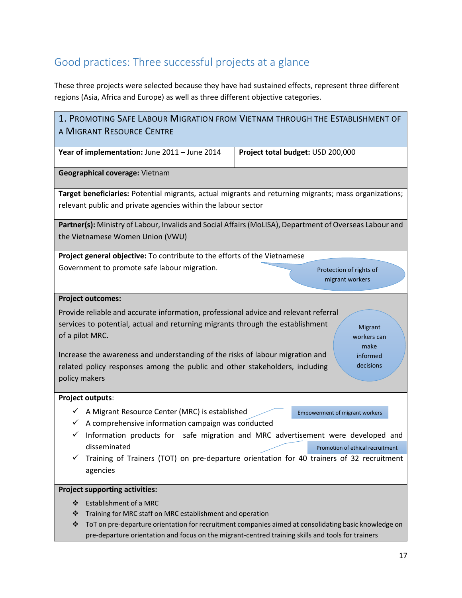## <span id="page-16-0"></span>Good practices: Three successful projects at a glance

These three projects were selected because they have had sustained effects, represent three different regions (Asia, Africa and Europe) as well as three different objective categories.

| 1. PROMOTING SAFE LABOUR MIGRATION FROM VIETNAM THROUGH THE ESTABLISHMENT OF                                                                                                                                                                                                                                                                                               |                                                                                                                                                                                                                                                            |
|----------------------------------------------------------------------------------------------------------------------------------------------------------------------------------------------------------------------------------------------------------------------------------------------------------------------------------------------------------------------------|------------------------------------------------------------------------------------------------------------------------------------------------------------------------------------------------------------------------------------------------------------|
| A MIGRANT RESOURCE CENTRE                                                                                                                                                                                                                                                                                                                                                  |                                                                                                                                                                                                                                                            |
| Year of implementation: June 2011 - June 2014                                                                                                                                                                                                                                                                                                                              | Project total budget: USD 200,000                                                                                                                                                                                                                          |
| Geographical coverage: Vietnam                                                                                                                                                                                                                                                                                                                                             |                                                                                                                                                                                                                                                            |
| Target beneficiaries: Potential migrants, actual migrants and returning migrants; mass organizations;<br>relevant public and private agencies within the labour sector                                                                                                                                                                                                     |                                                                                                                                                                                                                                                            |
| Partner(s): Ministry of Labour, Invalids and Social Affairs (MoLISA), Department of Overseas Labour and                                                                                                                                                                                                                                                                    |                                                                                                                                                                                                                                                            |
| the Vietnamese Women Union (VWU)                                                                                                                                                                                                                                                                                                                                           |                                                                                                                                                                                                                                                            |
| Project general objective: To contribute to the efforts of the Vietnamese                                                                                                                                                                                                                                                                                                  |                                                                                                                                                                                                                                                            |
| Government to promote safe labour migration.                                                                                                                                                                                                                                                                                                                               | Protection of rights of<br>migrant workers                                                                                                                                                                                                                 |
| <b>Project outcomes:</b>                                                                                                                                                                                                                                                                                                                                                   |                                                                                                                                                                                                                                                            |
| Provide reliable and accurate information, professional advice and relevant referral<br>services to potential, actual and returning migrants through the establishment<br>of a pilot MRC.<br>Increase the awareness and understanding of the risks of labour migration and<br>related policy responses among the public and other stakeholders, including<br>policy makers | Migrant<br>workers can<br>make<br>informed<br>decisions                                                                                                                                                                                                    |
| <b>Project outputs:</b>                                                                                                                                                                                                                                                                                                                                                    |                                                                                                                                                                                                                                                            |
| A Migrant Resource Center (MRC) is established<br>✓<br>A comprehensive information campaign was conducted<br>✓<br>✓<br>disseminated<br>agencies                                                                                                                                                                                                                            | <b>Empowerment of migrant workers</b><br>Information products for safe migration and MRC advertisement were developed and<br>Promotion of ethical recruitment<br>Training of Trainers (TOT) on pre-departure orientation for 40 trainers of 32 recruitment |
| <b>Project supporting activities:</b>                                                                                                                                                                                                                                                                                                                                      |                                                                                                                                                                                                                                                            |
| Establishment of a MRC<br>❖<br>Training for MRC staff on MRC establishment and operation<br>❖<br>❖<br>pre-departure orientation and focus on the migrant-centred training skills and tools for trainers                                                                                                                                                                    | ToT on pre-departure orientation for recruitment companies aimed at consolidating basic knowledge on                                                                                                                                                       |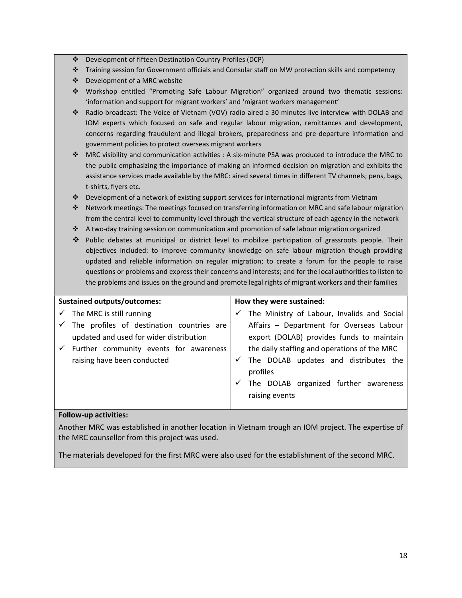- Development of fifteen Destination Country Profiles (DCP)
- Training session for Government officials and Consular staff on MW protection skills and competency
- Development of a MRC website
- Workshop entitled "Promoting Safe Labour Migration" organized around two thematic sessions: 'information and support for migrant workers' and 'migrant workers management'
- Radio broadcast: The Voice of Vietnam (VOV) radio aired a 30 minutes live interview with DOLAB and IOM experts which focused on safe and regular labour migration, remittances and development, concerns regarding fraudulent and illegal brokers, preparedness and pre-departure information and government policies to protect overseas migrant workers
- MRC visibility and communication activities : A six-minute PSA was produced to introduce the MRC to the public emphasizing the importance of making an informed decision on migration and exhibits the assistance services made available by the MRC: aired several times in different TV channels; pens, bags, t-shirts, flyers etc.
- $\bullet$  Development of a network of existing support services for international migrants from Vietnam
- Network meetings: The meetings focused on transferring information on MRC and safe labour migration from the central level to community level through the vertical structure of each agency in the network
- A two-day training session on communication and promotion of safe labour migration organized
- Public debates at municipal or district level to mobilize participation of grassroots people. Their objectives included: to improve community knowledge on safe labour migration though providing updated and reliable information on regular migration; to create a forum for the people to raise questions or problems and express their concerns and interests; and for the local authorities to listen to the problems and issues on the ground and promote legal rights of migrant workers and their families

| <b>Sustained outputs/outcomes:</b>        |              | How they were sustained:                          |
|-------------------------------------------|--------------|---------------------------------------------------|
| $\checkmark$ The MRC is still running     |              | The Ministry of Labour, Invalids and Social       |
| The profiles of destination countries are |              | Affairs - Department for Overseas Labour          |
| updated and used for wider distribution   |              | export (DOLAB) provides funds to maintain         |
| Further community events for awareness    |              | the daily staffing and operations of the MRC      |
| raising have been conducted               | $\checkmark$ | The DOLAB updates and distributes the<br>profiles |
|                                           |              | The DOLAB organized further awareness             |
|                                           |              | raising events                                    |

#### **Follow-up activities:**

Another MRC was established in another location in Vietnam trough an IOM project. The expertise of the MRC counsellor from this project was used.

The materials developed for the first MRC were also used for the establishment of the second MRC.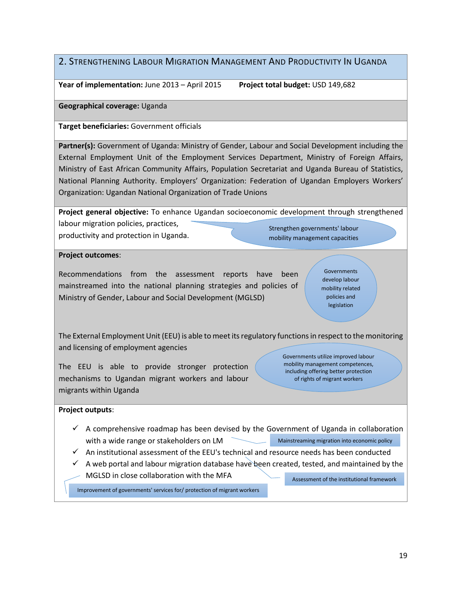### 2. STRENGTHENING LABOUR MIGRATION MANAGEMENT AND PRODUCTIVITY IN UGANDA

**Year of implementation:** June 2013 – April 2015 **Project total budget:** USD 149,682

**Geographical coverage:** Uganda

**Target beneficiaries:** Government officials

Partner(s): Government of Uganda: Ministry of Gender, Labour and Social Development including the External Employment Unit of the Employment Services Department, Ministry of Foreign Affairs, Ministry of East African Community Affairs, Population Secretariat and Uganda Bureau of Statistics, National Planning Authority. Employers' Organization: Federation of Ugandan Employers Workers' Organization: Ugandan National Organization of Trade Unions

**Project general objective:** To enhance Ugandan socioeconomic development through strengthened

labour migration policies, practices, productivity and protection in Uganda.

Strengthen governments' labour mobility management capacities

**Project outcomes**:

Recommendations from the assessment reports have been mainstreamed into the national planning strategies and policies of Ministry of Gender, Labour and Social Development (MGLSD)

**Governments** develop labour mobility related policies and legislation

The External Employment Unit (EEU) is able to meet its regulatory functions in respect to the monitoring and licensing of employment agencies

The EEU is able to provide stronger protection mechanisms to Ugandan migrant workers and labour migrants within Uganda

Governments utilize improved labour mobility management competences, including offering better protection of rights of migrant workers

**Project outputs**:

- $\checkmark$  A comprehensive roadmap has been devised by the Government of Uganda in collaboration with a wide range or stakeholders on LM Mainstreaming migration into economic policy
- $\checkmark$  An institutional assessment of the EEU's technical and resource needs has been conducted
- $\checkmark$  A web portal and labour migration database have been created, tested, and maintained by the
- MGLSD in close collaboration with the MFA

Assessment of the institutional framework

Improvement of governments' services for/ protection of migrant workers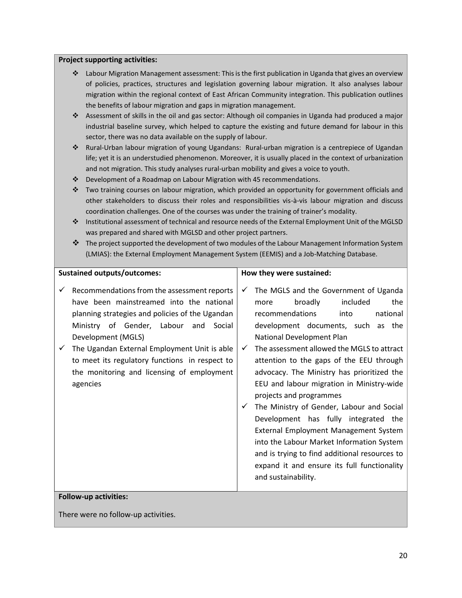#### **Project supporting activities:**

- Labour Migration Management assessment: This is the first publication in Uganda that gives an overview of policies, practices, structures and legislation governing labour migration. It also analyses labour migration within the regional context of East African Community integration. This publication outlines the benefits of labour migration and gaps in migration management.
- Assessment of skills in the oil and gas sector: Although oil companies in Uganda had produced a major industrial baseline survey, which helped to capture the existing and future demand for labour in this sector, there was no data available on the supply of labour.
- Rural-Urban labour migration of young Ugandans: Rural-urban migration is a centrepiece of Ugandan life; yet it is an understudied phenomenon. Moreover, it is usually placed in the context of urbanization and not migration. This study analyses rural-urban mobility and gives a voice to youth.
- $\cdot \cdot$  Development of a Roadmap on Labour Migration with 45 recommendations.
- \* Two training courses on labour migration, which provided an opportunity for government officials and other stakeholders to discuss their roles and responsibilities vis-à-vis labour migration and discuss coordination challenges. One of the courses was under the training of trainer's modality.
- Institutional assessment of technical and resource needs of the External Employment Unit of the MGLSD was prepared and shared with MGLSD and other project partners.
- $\clubsuit$  The project supported the development of two modules of the Labour Management Information System (LMIAS): the External Employment Management System (EEMIS) and a Job-Matching Database.

#### **Sustained outputs/outcomes:**

- $\checkmark$  Recommendations from the assessment reports have been mainstreamed into the national planning strategies and policies of the Ugandan Ministry of Gender, Labour and Social Development (MGLS)
- $\checkmark$  The Ugandan External Employment Unit is able to meet its regulatory functions in respect to the monitoring and licensing of employment agencies

#### **How they were sustained:**

- $\checkmark$  The MGLS and the Government of Uganda more broadly included the recommendations into national development documents, such as the National Development Plan
- $\checkmark$  The assessment allowed the MGLS to attract attention to the gaps of the EEU through advocacy. The Ministry has prioritized the EEU and labour migration in Ministry-wide projects and programmes
- $\checkmark$  The Ministry of Gender, Labour and Social Development has fully integrated the External Employment Management System into the Labour Market Information System and is trying to find additional resources to expand it and ensure its full functionality and sustainability.

#### **Follow-up activities:**

There were no follow-up activities.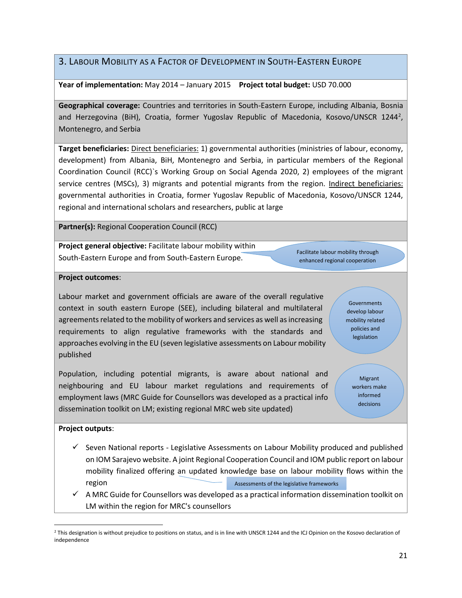### 3. LABOUR MOBILITY AS A FACTOR OF DEVELOPMENT IN SOUTH-EASTERN EUROPE

#### **Year of implementation:** May 2014 – January 2015 **Project total budget:** USD 70.000

**Geographical coverage:** Countries and territories in South-Eastern Europe, including Albania, Bosnia and Herzegovina (BiH), Croatia, former Yugoslav Republic of Macedonia, Kosovo/UNSCR 1244<sup>2</sup>, Montenegro, and Serbia

**Target beneficiaries:** Direct beneficiaries: 1) governmental authorities (ministries of labour, economy, development) from Albania, BiH, Montenegro and Serbia, in particular members of the Regional Coordination Council (RCC)`s Working Group on Social Agenda 2020, 2) employees of the migrant service centres (MSCs), 3) migrants and potential migrants from the region. Indirect beneficiaries: governmental authorities in Croatia, former Yugoslav Republic of Macedonia, Kosovo/UNSCR 1244, regional and international scholars and researchers, public at large

**Partner(s):** Regional Cooperation Council (RCC)

**Project general objective:** Facilitate labour mobility within South-Eastern Europe and from South-Eastern Europe.

Facilitate labour mobility through enhanced regional cooperation

#### **Project outcomes**:

Labour market and government officials are aware of the overall regulative context in south eastern Europe (SEE), including bilateral and multilateral agreements related to the mobility of workers and services as well as increasing requirements to align regulative frameworks with the standards and approaches evolving in the EU (seven legislative assessments on Labour mobility published

Population, including potential migrants, is aware about national and neighbouring and EU labour market regulations and requirements of employment laws (MRC Guide for Counsellors was developed as a practical info dissemination toolkit on LM; existing regional MRC web site updated)

Governments develop labour mobility related policies and legislation

> Migrant workers make informed decisions

#### **Project outputs**:

- $\checkmark$  Seven National reports Legislative Assessments on Labour Mobility produced and published on IOM Sarajevo website. A joint Regional Cooperation Council and IOM public report on labour mobility finalized offering an updated knowledge base on labour mobility flows within the region Assessments of the legislative frameworks
- $\checkmark$  A MRC Guide for Counsellors was developed as a practical information dissemination toolkit on LM within the region for MRC's counsellors

 $\overline{a}$ <sup>2</sup> This designation is without prejudice to positions on status, and is in line with UNSCR 1244 and the ICJ Opinion on the Kosovo declaration of independence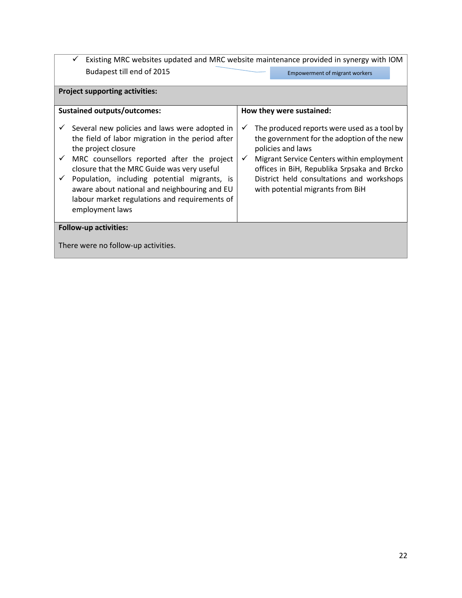$\checkmark$  Existing MRC websites updated and MRC website maintenance provided in synergy with IOM Budapest till end of 2015

| <b>Empowerment of migrant workers</b> |
|---------------------------------------|
|---------------------------------------|

## **Project supporting activities:**

| <b>Sustained outputs/outcomes:</b><br>How they were sustained:<br>Several new policies and laws were adopted in<br>✓<br>the field of labor migration in the period after<br>the project closure<br>policies and laws<br>MRC counsellors reported after the project<br>$\checkmark$<br>closure that the MRC Guide was very useful<br>Population, including potential migrants, is<br>✓<br>aware about national and neighbouring and EU<br>with potential migrants from BiH<br>labour market regulations and requirements of<br>employment laws<br><b>Follow-up activities:</b> |  |                                                                                                                                                                                                                                    |  |  |
|-------------------------------------------------------------------------------------------------------------------------------------------------------------------------------------------------------------------------------------------------------------------------------------------------------------------------------------------------------------------------------------------------------------------------------------------------------------------------------------------------------------------------------------------------------------------------------|--|------------------------------------------------------------------------------------------------------------------------------------------------------------------------------------------------------------------------------------|--|--|
|                                                                                                                                                                                                                                                                                                                                                                                                                                                                                                                                                                               |  |                                                                                                                                                                                                                                    |  |  |
|                                                                                                                                                                                                                                                                                                                                                                                                                                                                                                                                                                               |  | The produced reports were used as a tool by<br>the government for the adoption of the new<br>Migrant Service Centers within employment<br>offices in BiH, Republika Srpsaka and Brcko<br>District held consultations and workshops |  |  |
|                                                                                                                                                                                                                                                                                                                                                                                                                                                                                                                                                                               |  |                                                                                                                                                                                                                                    |  |  |
| There were no follow-up activities.                                                                                                                                                                                                                                                                                                                                                                                                                                                                                                                                           |  |                                                                                                                                                                                                                                    |  |  |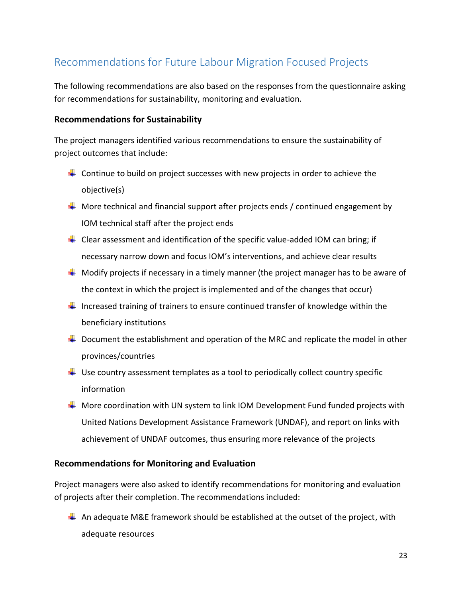## <span id="page-22-0"></span>Recommendations for Future Labour Migration Focused Projects

The following recommendations are also based on the responses from the questionnaire asking for recommendations for sustainability, monitoring and evaluation.

#### **Recommendations for Sustainability**

The project managers identified various recommendations to ensure the sustainability of project outcomes that include:

- $\ddot{\phantom{1}}$  Continue to build on project successes with new projects in order to achieve the objective(s)
- $\ddot{+}$  More technical and financial support after projects ends / continued engagement by IOM technical staff after the project ends
- $\pm$  Clear assessment and identification of the specific value-added IOM can bring; if necessary narrow down and focus IOM's interventions, and achieve clear results
- $\perp$  Modify projects if necessary in a timely manner (the project manager has to be aware of the context in which the project is implemented and of the changes that occur)
- Increased training of trainers to ensure continued transfer of knowledge within the beneficiary institutions
- $\ddot{\phantom{1}}$  Document the establishment and operation of the MRC and replicate the model in other provinces/countries
- $\ddot{\phantom{1}}$  Use country assessment templates as a tool to periodically collect country specific information
- $\blacksquare$  More coordination with UN system to link IOM Development Fund funded projects with United Nations Development Assistance Framework (UNDAF), and report on links with achievement of UNDAF outcomes, thus ensuring more relevance of the projects

#### **Recommendations for Monitoring and Evaluation**

Project managers were also asked to identify recommendations for monitoring and evaluation of projects after their completion. The recommendations included:

 $\pm$  An adequate M&E framework should be established at the outset of the project, with adequate resources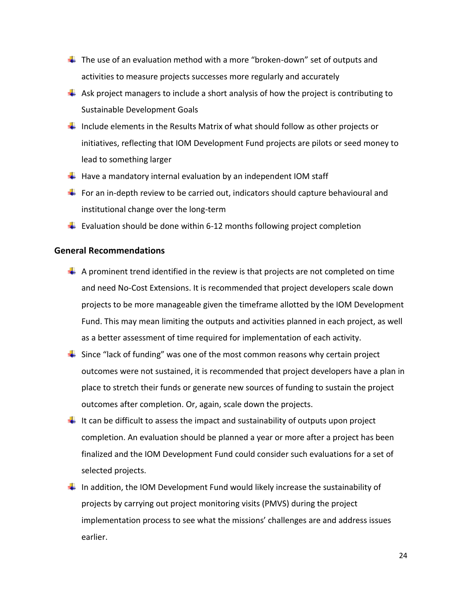- $\ddot{\phantom{1}}$  The use of an evaluation method with a more "broken-down" set of outputs and activities to measure projects successes more regularly and accurately
- $\overline{+}$  Ask project managers to include a short analysis of how the project is contributing to Sustainable Development Goals
- $\ddot$  Include elements in the Results Matrix of what should follow as other projects or initiatives, reflecting that IOM Development Fund projects are pilots or seed money to lead to something larger
- $\ddot$  Have a mandatory internal evaluation by an independent IOM staff
- For an in-depth review to be carried out, indicators should capture behavioural and institutional change over the long-term
- **Evaluation should be done within 6-12 months following project completion**

#### **General Recommendations**

- $\perp$  A prominent trend identified in the review is that projects are not completed on time and need No-Cost Extensions. It is recommended that project developers scale down projects to be more manageable given the timeframe allotted by the IOM Development Fund. This may mean limiting the outputs and activities planned in each project, as well as a better assessment of time required for implementation of each activity.
- $\frac{1}{2}$  Since "lack of funding" was one of the most common reasons why certain project outcomes were not sustained, it is recommended that project developers have a plan in place to stretch their funds or generate new sources of funding to sustain the project outcomes after completion. Or, again, scale down the projects.
- $\ddot{\phantom{1}}$  It can be difficult to assess the impact and sustainability of outputs upon project completion. An evaluation should be planned a year or more after a project has been finalized and the IOM Development Fund could consider such evaluations for a set of selected projects.
- $\ddot$  In addition, the IOM Development Fund would likely increase the sustainability of projects by carrying out project monitoring visits (PMVS) during the project implementation process to see what the missions' challenges are and address issues earlier.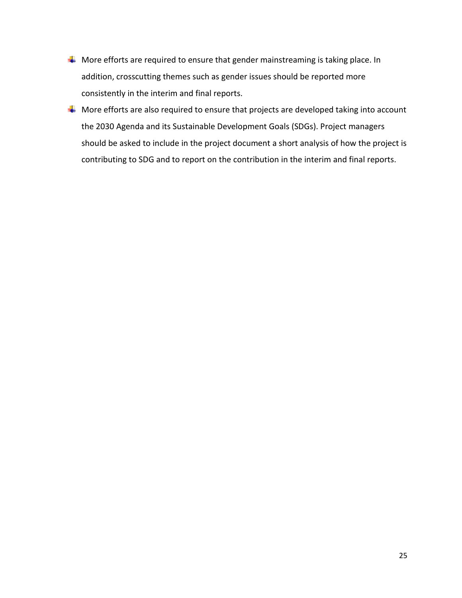- $\downarrow$  More efforts are required to ensure that gender mainstreaming is taking place. In addition, crosscutting themes such as gender issues should be reported more consistently in the interim and final reports.
- $\downarrow$  More efforts are also required to ensure that projects are developed taking into account the 2030 Agenda and its Sustainable Development Goals (SDGs). Project managers should be asked to include in the project document a short analysis of how the project is contributing to SDG and to report on the contribution in the interim and final reports.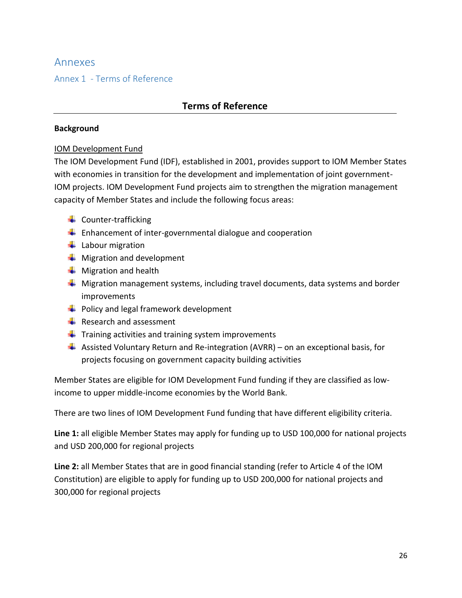## <span id="page-25-0"></span>Annexes

## <span id="page-25-1"></span>Annex 1 - Terms of Reference

## **Terms of Reference**

#### **Background**

### IOM Development Fund

The IOM Development Fund (IDF), established in 2001, provides support to IOM Member States with economies in transition for the development and implementation of joint government-IOM projects. IOM Development Fund projects aim to strengthen the migration management capacity of Member States and include the following focus areas:

- $\ddot{\phantom{1}}$  Counter-trafficking
- $\frac{1}{2}$  Enhancement of inter-governmental dialogue and cooperation
- $\ddot{\bullet}$  Labour migration
- $\bigstar$  Migration and development
- $\frac{1}{\sqrt{2}}$  Migration and health
- $\frac{1}{2}$  Migration management systems, including travel documents, data systems and border improvements
- $\leftarrow$  Policy and legal framework development
- $\frac{1}{\sqrt{2}}$  Research and assessment
- $\ddot{\phantom{1}}$  Training activities and training system improvements
- $\ddot{+}$  Assisted Voluntary Return and Re-integration (AVRR) on an exceptional basis, for projects focusing on government capacity building activities

Member States are eligible for IOM Development Fund funding if they are classified as lowincome to upper middle-income economies by the World Bank.

There are two lines of IOM Development Fund funding that have different eligibility criteria.

**Line 1:** all eligible Member States may apply for funding up to USD 100,000 for national projects and USD 200,000 for regional projects

**Line 2:** all Member States that are in good financial standing (refer to Article 4 of the IOM Constitution) are eligible to apply for funding up to USD 200,000 for national projects and 300,000 for regional projects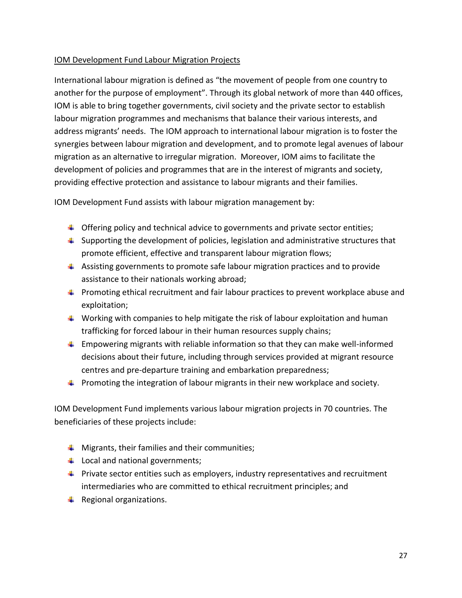### IOM Development Fund Labour Migration Projects

International labour migration is defined as "the movement of people from one country to another for the purpose of employment". Through its global network of more than 440 offices, IOM is able to bring together governments, civil society and the private sector to establish labour migration programmes and mechanisms that balance their various interests, and address migrants' needs. The IOM approach to international labour migration is to foster the synergies between labour migration and development, and to promote legal avenues of labour migration as an alternative to irregular migration. Moreover, IOM aims to facilitate the development of policies and programmes that are in the interest of migrants and society, providing effective protection and assistance to labour migrants and their families.

IOM Development Fund assists with labour migration management by:

- $\Box$  Offering policy and technical advice to governments and private sector entities;
- $\uparrow$  Supporting the development of policies, legislation and administrative structures that promote efficient, effective and transparent labour migration flows;
- $\ddot{\phantom{1}}$  Assisting governments to promote safe labour migration practices and to provide assistance to their nationals working abroad;
- **Promoting ethical recruitment and fair labour practices to prevent workplace abuse and** exploitation;
- $\ddot{\bullet}$  Working with companies to help mitigate the risk of labour exploitation and human trafficking for forced labour in their human resources supply chains;
- $\uparrow$  Empowering migrants with reliable information so that they can make well-informed decisions about their future, including through services provided at migrant resource centres and pre-departure training and embarkation preparedness;
- **Promoting the integration of labour migrants in their new workplace and society.**

IOM Development Fund implements various labour migration projects in 70 countries. The beneficiaries of these projects include:

- $\downarrow$  Migrants, their families and their communities;
- $\downarrow$  Local and national governments;
- $\ddot{\bullet}$  Private sector entities such as employers, industry representatives and recruitment intermediaries who are committed to ethical recruitment principles; and
- $\leftarrow$  Regional organizations.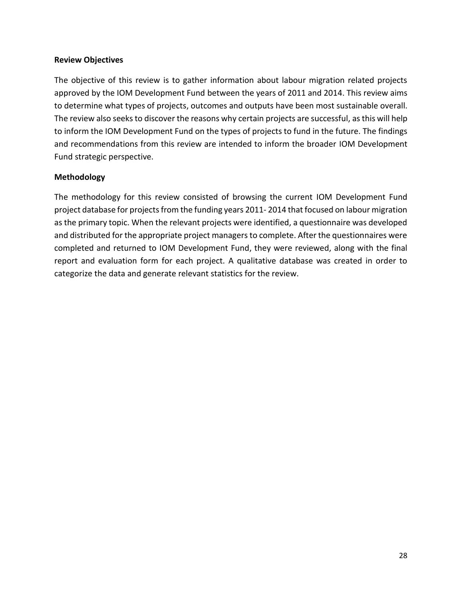#### **Review Objectives**

The objective of this review is to gather information about labour migration related projects approved by the IOM Development Fund between the years of 2011 and 2014. This review aims to determine what types of projects, outcomes and outputs have been most sustainable overall. The review also seeks to discover the reasons why certain projects are successful, as this will help to inform the IOM Development Fund on the types of projects to fund in the future. The findings and recommendations from this review are intended to inform the broader IOM Development Fund strategic perspective.

#### **Methodology**

The methodology for this review consisted of browsing the current IOM Development Fund project database for projects from the funding years 2011- 2014 that focused on labour migration as the primary topic. When the relevant projects were identified, a questionnaire was developed and distributed for the appropriate project managers to complete. After the questionnaires were completed and returned to IOM Development Fund, they were reviewed, along with the final report and evaluation form for each project. A qualitative database was created in order to categorize the data and generate relevant statistics for the review.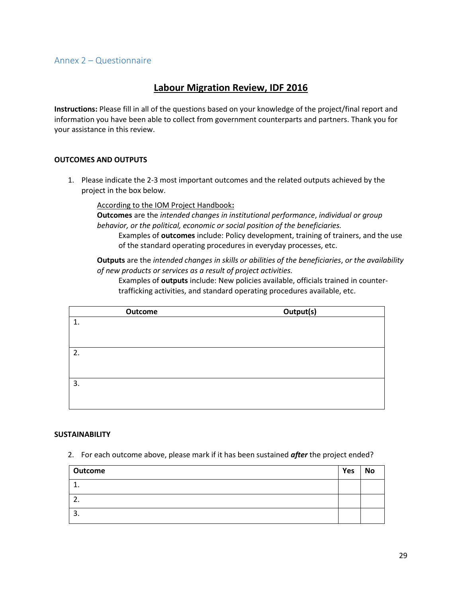#### <span id="page-28-0"></span>Annex 2 – Questionnaire

#### **Labour Migration Review, IDF 2016**

**Instructions:** Please fill in all of the questions based on your knowledge of the project/final report and information you have been able to collect from government counterparts and partners. Thank you for your assistance in this review.

#### **OUTCOMES AND OUTPUTS**

1. Please indicate the 2-3 most important outcomes and the related outputs achieved by the project in the box below.

According to the IOM Project Handbook**:** 

**Outcomes** are the *intended changes in institutional performance*, *individual or group behavior, or the political, economic or social position of the beneficiaries.*

Examples of **outcomes** include: Policy development, training of trainers, and the use of the standard operating procedures in everyday processes, etc.

**Outputs** are the *intended changes in skills or abilities of the beneficiaries*, *or the availability of new products or services as a result of project activities.*

Examples of **outputs** include: New policies available, officials trained in countertrafficking activities, and standard operating procedures available, etc.

|    | Outcome | Output(s) |
|----|---------|-----------|
| 1. |         |           |
|    |         |           |
|    |         |           |
| 2. |         |           |
|    |         |           |
|    |         |           |
| 3. |         |           |
|    |         |           |
|    |         |           |

#### **SUSTAINABILITY**

2. For each outcome above, please mark if it has been sustained *after* the project ended?

| Outcome | Yes | <b>No</b> |
|---------|-----|-----------|
| ᆠ.      |     |           |
|         |     |           |
| 3.      |     |           |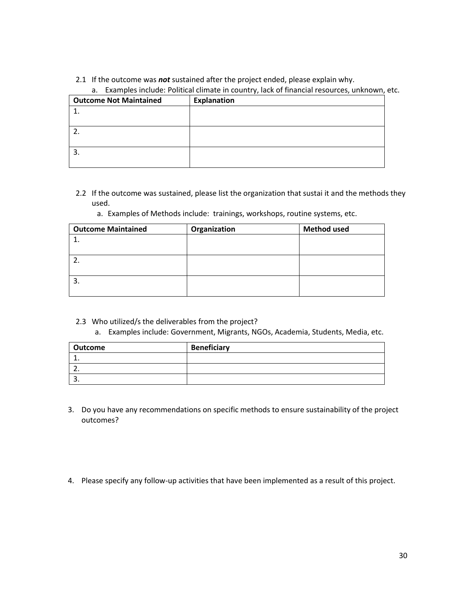#### 2.1 If the outcome was *not* sustained after the project ended, please explain why.

|                               | a. Examples include. Political climate in country, lack or infancial resources, unknown, t |
|-------------------------------|--------------------------------------------------------------------------------------------|
| <b>Outcome Not Maintained</b> | <b>Explanation</b>                                                                         |
|                               |                                                                                            |
|                               |                                                                                            |
|                               |                                                                                            |
|                               |                                                                                            |
| -3.                           |                                                                                            |
|                               |                                                                                            |

a. Examples include: Political climate in country, lack of financial resources, unknown, etc.

- 2.2 If the outcome was sustained, please list the organization that sustai it and the methods they used.
	- a. Examples of Methods include: trainings, workshops, routine systems, etc.

| <b>Outcome Maintained</b> | Organization | <b>Method used</b> |
|---------------------------|--------------|--------------------|
|                           |              |                    |
|                           |              |                    |
|                           |              |                    |
|                           |              |                    |
|                           |              |                    |
|                           |              |                    |

- 2.3 Who utilized/s the deliverables from the project?
	- a. Examples include: Government, Migrants, NGOs, Academia, Students, Media, etc.

| Outcome | <b>Beneficiary</b> |
|---------|--------------------|
|         |                    |
|         |                    |
|         |                    |

- 3. Do you have any recommendations on specific methods to ensure sustainability of the project outcomes?
- 4. Please specify any follow-up activities that have been implemented as a result of this project.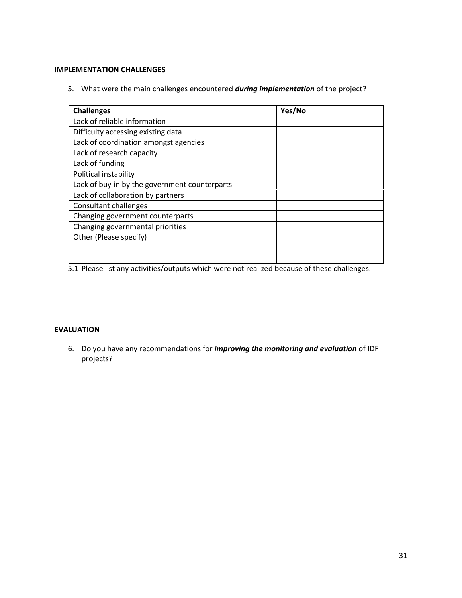#### **IMPLEMENTATION CHALLENGES**

5. What were the main challenges encountered *during implementation* of the project?

| <b>Challenges</b>                             | Yes/No |
|-----------------------------------------------|--------|
| Lack of reliable information                  |        |
| Difficulty accessing existing data            |        |
| Lack of coordination amongst agencies         |        |
| Lack of research capacity                     |        |
| Lack of funding                               |        |
| Political instability                         |        |
| Lack of buy-in by the government counterparts |        |
| Lack of collaboration by partners             |        |
| <b>Consultant challenges</b>                  |        |
| Changing government counterparts              |        |
| Changing governmental priorities              |        |
| Other (Please specify)                        |        |
|                                               |        |
|                                               |        |

5.1 Please list any activities/outputs which were not realized because of these challenges.

#### **EVALUATION**

6. Do you have any recommendations for *improving the monitoring and evaluation* of IDF projects?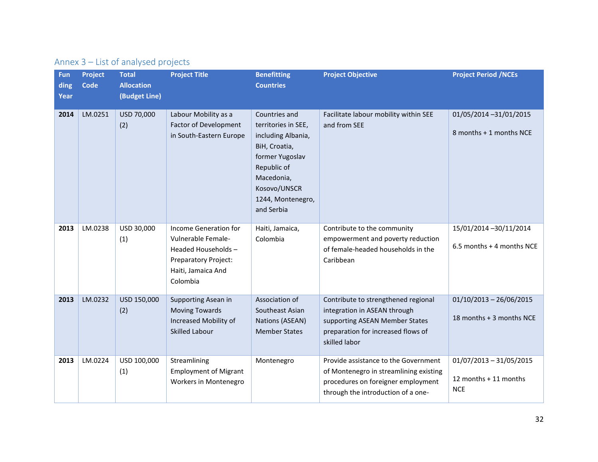| Annex 3 - List of analysed projects |  |  |  |
|-------------------------------------|--|--|--|
|-------------------------------------|--|--|--|

<span id="page-31-0"></span>

| Fun<br>ding<br>Year | <b>Project</b><br><b>Code</b> | <b>Total</b><br><b>Allocation</b><br>(Budget Line) | <b>Project Title</b>                                                                                                               | <b>Benefitting</b><br><b>Countries</b>                                                                                                                                         | <b>Project Objective</b>                                                                                                                                     | <b>Project Period /NCEs</b>                                      |
|---------------------|-------------------------------|----------------------------------------------------|------------------------------------------------------------------------------------------------------------------------------------|--------------------------------------------------------------------------------------------------------------------------------------------------------------------------------|--------------------------------------------------------------------------------------------------------------------------------------------------------------|------------------------------------------------------------------|
| 2014                | LM.0251                       | USD 70,000<br>(2)                                  | Labour Mobility as a<br><b>Factor of Development</b><br>in South-Eastern Europe                                                    | Countries and<br>territories in SEE,<br>including Albania,<br>BiH, Croatia,<br>former Yugoslav<br>Republic of<br>Macedonia,<br>Kosovo/UNSCR<br>1244, Montenegro,<br>and Serbia | Facilitate labour mobility within SEE<br>and from SEE                                                                                                        | 01/05/2014 -31/01/2015<br>8 months + 1 months NCE                |
| 2013                | LM.0238                       | USD 30,000<br>(1)                                  | Income Generation for<br>Vulnerable Female-<br>Headed Households-<br><b>Preparatory Project:</b><br>Haiti, Jamaica And<br>Colombia | Haiti, Jamaica,<br>Colombia                                                                                                                                                    | Contribute to the community<br>empowerment and poverty reduction<br>of female-headed households in the<br>Caribbean                                          | 15/01/2014 -30/11/2014<br>6.5 months + 4 months NCE              |
| 2013                | LM.0232                       | USD 150,000<br>(2)                                 | Supporting Asean in<br><b>Moving Towards</b><br>Increased Mobility of<br><b>Skilled Labour</b>                                     | Association of<br>Southeast Asian<br>Nations (ASEAN)<br><b>Member States</b>                                                                                                   | Contribute to strengthened regional<br>integration in ASEAN through<br>supporting ASEAN Member States<br>preparation for increased flows of<br>skilled labor | $01/10/2013 - 26/06/2015$<br>18 months + 3 months NCE            |
| 2013                | LM.0224                       | USD 100,000<br>(1)                                 | Streamlining<br><b>Employment of Migrant</b><br>Workers in Montenegro                                                              | Montenegro                                                                                                                                                                     | Provide assistance to the Government<br>of Montenegro in streamlining existing<br>procedures on foreigner employment<br>through the introduction of a one-   | $01/07/2013 - 31/05/2015$<br>12 months + 11 months<br><b>NCE</b> |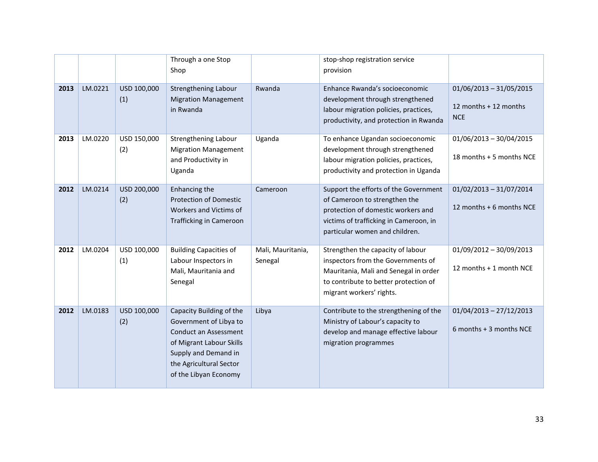|      |         |                    | Through a one Stop<br>Shop                                                                                                                                                                 |                              | stop-shop registration service<br>provision                                                                                                                                              |                                                                  |
|------|---------|--------------------|--------------------------------------------------------------------------------------------------------------------------------------------------------------------------------------------|------------------------------|------------------------------------------------------------------------------------------------------------------------------------------------------------------------------------------|------------------------------------------------------------------|
| 2013 | LM.0221 | USD 100,000<br>(1) | Strengthening Labour<br><b>Migration Management</b><br>in Rwanda                                                                                                                           | Rwanda                       | Enhance Rwanda's socioeconomic<br>development through strengthened<br>labour migration policies, practices,<br>productivity, and protection in Rwanda                                    | $01/06/2013 - 31/05/2015$<br>12 months + 12 months<br><b>NCE</b> |
| 2013 | LM.0220 | USD 150,000<br>(2) | Strengthening Labour<br><b>Migration Management</b><br>and Productivity in<br>Uganda                                                                                                       | Uganda                       | To enhance Ugandan socioeconomic<br>development through strengthened<br>labour migration policies, practices,<br>productivity and protection in Uganda                                   | $01/06/2013 - 30/04/2015$<br>18 months + 5 months NCE            |
| 2012 | LM.0214 | USD 200,000<br>(2) | Enhancing the<br><b>Protection of Domestic</b><br><b>Workers and Victims of</b><br>Trafficking in Cameroon                                                                                 | Cameroon                     | Support the efforts of the Government<br>of Cameroon to strengthen the<br>protection of domestic workers and<br>victims of trafficking in Cameroon, in<br>particular women and children. | $01/02/2013 - 31/07/2014$<br>12 months + 6 months NCE            |
| 2012 | LM.0204 | USD 100,000<br>(1) | <b>Building Capacities of</b><br>Labour Inspectors in<br>Mali, Mauritania and<br>Senegal                                                                                                   | Mali, Mauritania,<br>Senegal | Strengthen the capacity of labour<br>inspectors from the Governments of<br>Mauritania, Mali and Senegal in order<br>to contribute to better protection of<br>migrant workers' rights.    | $01/09/2012 - 30/09/2013$<br>12 months + 1 month NCE             |
| 2012 | LM.0183 | USD 100,000<br>(2) | Capacity Building of the<br>Government of Libya to<br><b>Conduct an Assessment</b><br>of Migrant Labour Skills<br>Supply and Demand in<br>the Agricultural Sector<br>of the Libyan Economy | Libya                        | Contribute to the strengthening of the<br>Ministry of Labour's capacity to<br>develop and manage effective labour<br>migration programmes                                                | $01/04/2013 - 27/12/2013$<br>6 months + 3 months NCE             |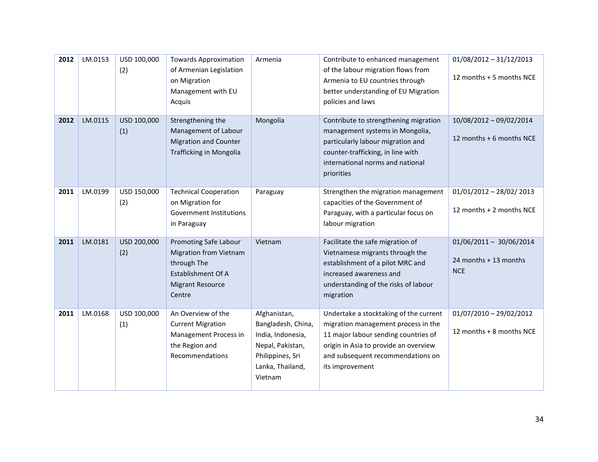| 2012 | LM.0153 | USD 100,000<br>(2) | <b>Towards Approximation</b><br>of Armenian Legislation<br>on Migration<br>Management with EU<br>Acquis                                 | Armenia                                                                                                                        | Contribute to enhanced management<br>of the labour migration flows from<br>Armenia to EU countries through<br>better understanding of EU Migration<br>policies and laws                                                | $01/08/2012 - 31/12/2013$<br>12 months + 5 months NCE            |
|------|---------|--------------------|-----------------------------------------------------------------------------------------------------------------------------------------|--------------------------------------------------------------------------------------------------------------------------------|------------------------------------------------------------------------------------------------------------------------------------------------------------------------------------------------------------------------|------------------------------------------------------------------|
| 2012 | LM.0115 | USD 100,000<br>(1) | Strengthening the<br>Management of Labour<br><b>Migration and Counter</b><br><b>Trafficking in Mongolia</b>                             | Mongolia                                                                                                                       | Contribute to strengthening migration<br>management systems in Mongolia,<br>particularly labour migration and<br>counter-trafficking, in line with<br>international norms and national<br>priorities                   | 10/08/2012 - 09/02/2014<br>12 months + 6 months NCE              |
| 2011 | LM.0199 | USD 150,000<br>(2) | <b>Technical Cooperation</b><br>on Migration for<br><b>Government Institutions</b><br>in Paraguay                                       | Paraguay                                                                                                                       | Strengthen the migration management<br>capacities of the Government of<br>Paraguay, with a particular focus on<br>labour migration                                                                                     | $01/01/2012 - 28/02/2013$<br>12 months + 2 months NCE            |
| 2011 | LM.0181 | USD 200,000<br>(2) | Promoting Safe Labour<br><b>Migration from Vietnam</b><br>through The<br><b>Establishment Of A</b><br><b>Migrant Resource</b><br>Centre | Vietnam                                                                                                                        | Facilitate the safe migration of<br>Vietnamese migrants through the<br>establishment of a pilot MRC and<br>increased awareness and<br>understanding of the risks of labour<br>migration                                | $01/06/2011 - 30/06/2014$<br>24 months + 13 months<br><b>NCE</b> |
| 2011 | LM.0168 | USD 100,000<br>(1) | An Overview of the<br><b>Current Migration</b><br>Management Process in<br>the Region and<br>Recommendations                            | Afghanistan,<br>Bangladesh, China,<br>India, Indonesia,<br>Nepal, Pakistan,<br>Philippines, Sri<br>Lanka, Thailand,<br>Vietnam | Undertake a stocktaking of the current<br>migration management process in the<br>11 major labour sending countries of<br>origin in Asia to provide an overview<br>and subsequent recommendations on<br>its improvement | $01/07/2010 - 29/02/2012$<br>12 months + 8 months NCE            |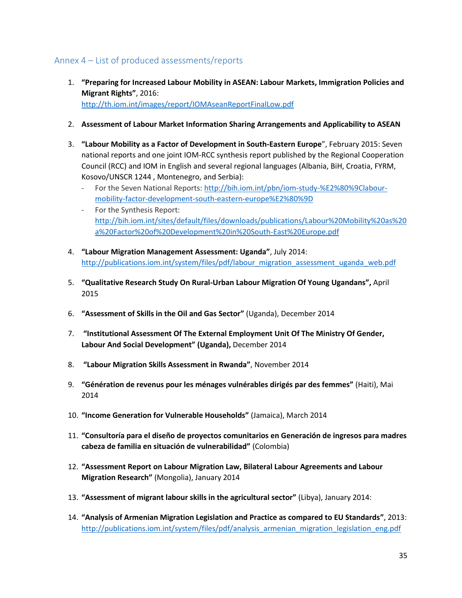## <span id="page-34-0"></span>Annex 4 – List of produced assessments/reports

- 1. **"Preparing for Increased Labour Mobility in ASEAN: Labour Markets, Immigration Policies and Migrant Rights"**, 2016: <http://th.iom.int/images/report/IOMAseanReportFinalLow.pdf>
- 2. **Assessment of Labour Market Information Sharing Arrangements and Applicability to ASEAN**
- 3. **"Labour Mobility as a Factor of Development in South-Eastern Europe**", February 2015: Seven national reports and one joint IOM-RCC synthesis report published by the Regional Cooperation Council (RCC) and IOM in English and several regional languages (Albania, BiH, Croatia, FYRM, Kosovo/UNSCR 1244 , Montenegro, and Serbia):
	- For the Seven National Reports[: http://bih.iom.int/pbn/iom-study-%E2%80%9Clabour](http://bih.iom.int/pbn/iom-study-%E2%80%9Clabour-mobility-factor-development-south-eastern-europe%E2%80%9D)[mobility-factor-development-south-eastern-europe%E2%80%9D](http://bih.iom.int/pbn/iom-study-%E2%80%9Clabour-mobility-factor-development-south-eastern-europe%E2%80%9D)
	- For the Synthesis Report: [http://bih.iom.int/sites/default/files/downloads/publications/Labour%20Mobility%20as%20](http://bih.iom.int/sites/default/files/downloads/publications/Labour%20Mobility%20as%20a%20Factor%20of%20Development%20in%20South-East%20Europe.pdf) [a%20Factor%20of%20Development%20in%20South-East%20Europe.pdf](http://bih.iom.int/sites/default/files/downloads/publications/Labour%20Mobility%20as%20a%20Factor%20of%20Development%20in%20South-East%20Europe.pdf)
- 4. **"Labour Migration Management Assessment: Uganda"**, July 2014: [http://publications.iom.int/system/files/pdf/labour\\_migration\\_assessment\\_uganda\\_web.pdf](http://publications.iom.int/system/files/pdf/labour_migration_assessment_uganda_web.pdf)
- 5. **"Qualitative Research Study On Rural-Urban Labour Migration Of Young Ugandans",** April 2015
- 6. **"Assessment of Skills in the Oil and Gas Sector"** (Uganda), December 2014
- 7. **"Institutional Assessment Of The External Employment Unit Of The Ministry Of Gender, Labour And Social Development" (Uganda),** December 2014
- 8. **"Labour Migration Skills Assessment in Rwanda"**, November 2014
- 9. **"Génération de revenus pour les ménages vulnérables dirigés par des femmes"** (Haiti), Mai 2014
- 10. **"Income Generation for Vulnerable Households"** (Jamaica), March 2014
- 11. **"Consultoría para el diseño de proyectos comunitarios en Generación de ingresos para madres cabeza de familia en situación de vulnerabilidad"** (Colombia)
- 12. **"Assessment Report on Labour Migration Law, Bilateral Labour Agreements and Labour Migration Research"** (Mongolia), January 2014
- 13. **"Assessment of migrant labour skills in the agricultural sector"** (Libya), January 2014:
- 14. **"Analysis of Armenian Migration Legislation and Practice as compared to EU Standards"**, 2013: [http://publications.iom.int/system/files/pdf/analysis\\_armenian\\_migration\\_legislation\\_eng.pdf](http://publications.iom.int/system/files/pdf/analysis_armenian_migration_legislation_eng.pdf)